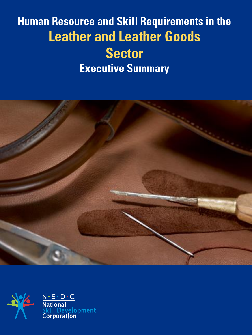# **Human Resource and Skill Requirements in the Leather and Leather Goods Sector Executive Summary**





 $N \cdot S \cdot D \cdot C$ lopment Corporation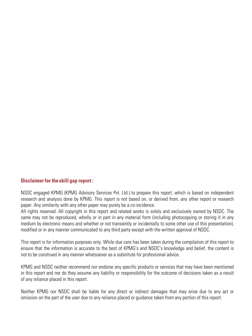#### **Disclaimer for the skill gap report:**

NSDC engaged KPMG (KPMG Advisory Services Pvt. Ltd.) to prepare this report, which is based on independent research and analysis done by KPMG. This report is not based on, or derived from, any other report or research paper. Any similarity with any other paper may purely be a co-incidence.

All rights reserved. All copyright in this report and related works is solely and exclusively owned by NSDC. The same may not be reproduced, wholly or in part in any material form (including photocopying or storing it in any medium by electronic means and whether or not transiently or incidentally to some other use of this presentation), modified or in any manner communicated to any third party except with the written approval of NSDC.

This report is for information purposes only. While due care has been taken during the compilation of this report to ensure that the information is accurate to the best of KPMG's and NSDC's knowledge and belief, the content is not to be construed in any manner whatsoever as a substitute for professional advice.

KPMG and NSDC neither recommend nor endorse any specific products or services that may have been mentioned in this report and nor do they assume any liability or responsibility for the outcome of decisions taken as a result of any reliance placed in this report.

Neither KPMG nor NSDC shall be liable for any direct or indirect damages that may arise due to any act or omission on the part of the user due to any reliance placed or guidance taken from any portion of this report.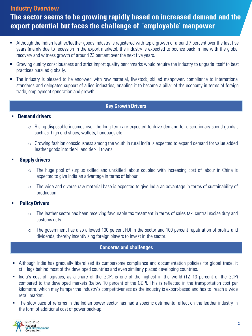## **Industry Overview** The sector seems to be growing rapidly based on increased demand and the export potential but faces the challenge of 'employable' manpower

- Although the Indian leather/leather goods industry is registered with tepid growth of around 7 percent over the last five years (mainly due to recession in the export markets), the industry is expected to bounce back in line with the global recovery and witness growth of around 23 percent over the next five years.
- Growing quality consciousness and strict import quality benchmarks would require the industry to upgrade itself to best practices pursued globally.
- The industry is blessed to be endowed with raw material, livestock, skilled manpower, compliance to international standards and delegated support of allied industries, enabling it to become a pillar of the economy in terms of foreign trade, employment generation and growth.

## **Key Growth Drivers**

#### **Demand drivers** ı

- o Rising disposable incomes over the long term are expected to drive demand for discretionary spend goods , such as high end shoes, wallets, handbags etc
- $\circ$  Growing fashion consciousness among the youth in rural India is expected to expand demand for value added leather goods into tier-II and tier-III towns.

#### **Supply drivers** ı

- o The huge pool of surplus skilled and unskilled labour coupled with increasing cost of labour in China is expected to give India an advantage in terms of labour
- o The wide and diverse raw material base is expected to give India an advantage in terms of sustainability of production.

#### ı **Policy Drivers**

- o The leather sector has been receiving favourable tax treatment in terms of sales tax, central excise duty and customs duty.
- o The government has also allowed 100 percent FDI in the sector and 100 percent repatriation of profits and dividends, thereby incentivising foreign players to invest in the sector.

#### **Concerns and challenges**

- Although India has gradually liberalised its cumbersome compliance and documentation policies for global trade, it still lags behind most of the developed countries and even similarly placed developing countries.
- India's cost of logistics, as a share of the GDP, is one of the highest in the world (12–13 percent of the GDP) compared to the developed markets (below 10 percent of the GDP). This is reflected in the transportation cost per kilometre, which may hamper the industry's competitiveness as the industry is export-based and has to reach a wide retail market.
- The slow pace of reforms in the Indian power sector has had a specific detrimental effect on the leather industry in the form of additional cost of power back-up.

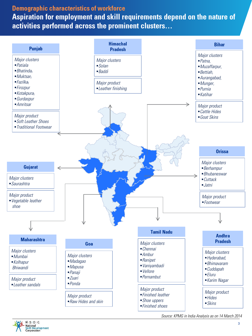## **Demographic characteristics of workforce**

Aspiration for employment and skill requirements depend on the nature of activities performed across the prominent clusters...





3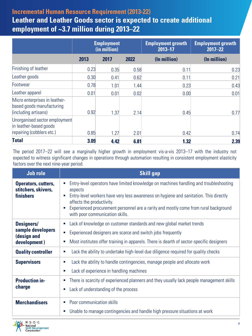# **Incremental Human Resource Requirement (2013-22)** Leather and Leather Goods sector is expected to create additional employment of ~3.7 million during 2013-22

|                                                                                      | <b>Employment</b><br>(in million) |      | <b>Employment growth</b><br>$2013 - 17$ | <b>Employment growth</b><br>$2017 - 22$ |              |
|--------------------------------------------------------------------------------------|-----------------------------------|------|-----------------------------------------|-----------------------------------------|--------------|
|                                                                                      | 2013                              | 2017 | 2022                                    | (In million)                            | (In million) |
| Finishing of leather                                                                 | 0.23                              | 0.35 | 0.58                                    | 0.11                                    | 0.23         |
| Leather goods                                                                        | 0.30                              | 0.41 | 0.62                                    | 0.11                                    | 0.21         |
| Footwear                                                                             | 0.78                              | 1.01 | 1.44                                    | 0.23                                    | 0.43         |
| Leather apparel                                                                      | 0.01                              | 0.01 | 0.02                                    | 0.00                                    | 0.01         |
| Micro enterprises in leather-<br>based goods manufacturing<br>(including artisans)   | 0.92                              | 1.37 | 2.14                                    | 0.45                                    | 0.77         |
| Unorganised sector employment<br>in leather-based goods<br>repairing (cobblers etc.) | 0.85                              | 1.27 | 2.01                                    | 0.42                                    | 0.74         |
| <b>Total</b>                                                                         | 3.09                              | 4.42 | 6.81                                    | 1.32                                    | 2.39         |

The period 2017–22 will see a marginally higher growth in employment vis-a-vis 2013–17 with the industry not expected to witness significant changes in operations through automation resulting in consistent employment elasticity factors over the next nine-year period.

| Job role                                                       | <b>Skill gap</b>                                                                                                                                                                                                                                                                                                                                  |
|----------------------------------------------------------------|---------------------------------------------------------------------------------------------------------------------------------------------------------------------------------------------------------------------------------------------------------------------------------------------------------------------------------------------------|
| Operators, cutters,<br>stitchers, skivers,<br>finishers        | Entry-level operators have limited knowledge on machines handling and troubleshooting<br>aspects<br>Entry-level workers have very less awareness on hygiene and sanitation. This directly<br>affects the productivity.<br>Experienced procurement personnel are a rarity and mostly come from rural background<br>with poor communication skills. |
| Designers/<br>sample developers<br>(design and<br>development) | Lack of knowledge on customer standards and new global market trends<br>Experienced designers are scarce and switch jobs frequently<br>ш<br>Most institutes offer training in apparels. There is dearth of sector-specific designers<br>×.                                                                                                        |
| <b>Quality controller</b>                                      | Lack the ability to undertake high-level due diligence required for quality checks<br>×.                                                                                                                                                                                                                                                          |
| <b>Supervisors</b>                                             | Lack the ability to handle contingencies, manage people and allocate work<br>٠<br>Lack of experience in handling machines<br>×                                                                                                                                                                                                                    |
| <b>Production in-</b><br>charge                                | There is scarcity of experienced planners and they usually lack people management skills<br>×.<br>Lack of understanding of the process<br>×.                                                                                                                                                                                                      |
| <b>Merchandisers</b>                                           | Poor communication skills<br>×.<br>Unable to manage contingencies and handle high pressure situations at work<br>٠                                                                                                                                                                                                                                |

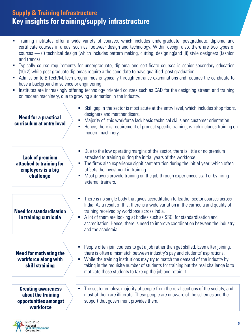## **Supply & Training Infrastructure** Key insights for training/supply infrastructure

- Training institutes offer a wide variety of courses, which includes undergraduate, postgraduate, diploma and certificate courses in areas, such as footwear design and technology. Within design also, there are two types of courses — (i) technical design (which includes pattern making, cutting, designing)and (ii) style designers (fashion and trends)
- Typically course requirements for undergraduate, diploma and certificate courses is senior secondary education  $(10+2)$  while post graduate diplomas require  $a$  the candidate to have qualified post graduation.
- Admission to B.Tech/M.Tech programmes is typically through entrance examinations and requires the candidate to have a background in science or engineering.
- Institutes are increasingly offering technology oriented courses such as CAD for the designing stream and training on modern machinery, due to growing automation in the industry.

| <b>Need for a practical</b><br>curriculum at entry level                              | Skill gap in the sector is most acute at the entry level, which includes shop floors,<br>n,<br>designers and merchandisers.<br>Majority of this workforce lack basic technical skills and customer orientation.<br>Hence, there is requirement of product specific training, which includes training on<br>$\mathcal{L}_{\mathcal{A}}$<br>modern machinery.                                                                                     |
|---------------------------------------------------------------------------------------|-------------------------------------------------------------------------------------------------------------------------------------------------------------------------------------------------------------------------------------------------------------------------------------------------------------------------------------------------------------------------------------------------------------------------------------------------|
| <b>Lack of premium</b><br>attached to training for<br>employers is a big<br>challenge | Due to the low operating margins of the sector, there is little or no premium<br>attached to training during the initial years of the workforce.<br>The firms also experience significant attrition during the initial year, which often<br>$\blacksquare$<br>offsets the investment in training.<br>Most players provide training on the job through experienced staff or by hiring<br>external trainers.                                      |
| <b>Need for standardisation</b><br>in training curricula                              | There is no single body that gives accreditation to leather sector courses across<br>П<br>India. As a result of this, there is a wide variation in the curricula and quality of<br>training received by workforce across India.<br>A lot of them are looking at bodies such as SSC for standardisation and<br>$\overline{\phantom{a}}$<br>accreditation. Hence, there is need to improve coordination between the industry<br>and the academia. |
| <b>Need for motivating the</b><br>workforce along with<br>skill straining             | People often join courses to get a job rather than get skilled. Even after joining,<br>T,<br>there is often a mismatch between industry's pay and students' aspirations.<br>While the training institutions may try to match the demand of the industry by<br>a.<br>taking in the requisite number of students for training but the real challenge is to<br>motivate these students to take up the job and retain it                            |
| <b>Creating awareness</b><br>about the training<br>opportunities amongst<br>workforce | The sector employs majority of people from the rural sections of the society, and<br>ш<br>most of them are illiterate. These people are unaware of the schemes and the<br>support that government provides them.                                                                                                                                                                                                                                |

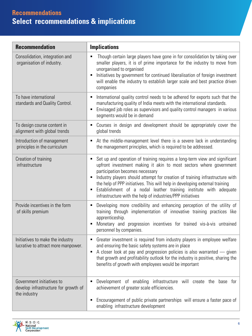# **Recommendations Select recommendations & implications**

| <b>Recommendation</b>                                                             | <b>Implications</b>                                                                                                                                                                                                                                                                                                                                                                                                                                                                   |
|-----------------------------------------------------------------------------------|---------------------------------------------------------------------------------------------------------------------------------------------------------------------------------------------------------------------------------------------------------------------------------------------------------------------------------------------------------------------------------------------------------------------------------------------------------------------------------------|
| Consolidation, integration and<br>organisation of industry.                       | Though certain large players have gone in for consolidation by taking over<br>smaller players, it is of prime importance for the industry to move from<br>unorganised to organised<br>Initiatives by government for continued liberalisation of foreign investment<br>will enable the industry to establish larger scale and best practice driven<br>companies                                                                                                                        |
| To have international<br>standards and Quality Control.                           | International quality control needs to be adhered for exports such that the<br>manufacturing quality of India meets with the international standards.<br>Envisaged job roles as supervisors and quality control managers in various<br>segments would be in demand                                                                                                                                                                                                                    |
| To design course content in<br>alignment with global trends                       | Courses in design and development should be appropriately cover the<br>global trends                                                                                                                                                                                                                                                                                                                                                                                                  |
| Introduction of management<br>principles in the curriculum                        | At the middle-management level there is a severe lack in understanding<br>the management principles, which is required to be addressed.                                                                                                                                                                                                                                                                                                                                               |
| Creation of training<br>infrastructure                                            | Set up and operation of training requires a long-term view and significant<br>upfront investment making it akin to most sectors where government<br>participation becomes necessary<br>Industry players should attempt for creation of training infrastructure with<br>the help of PPP initiatives. This will help in developing external training<br>Establishment of a nodal leather training institute with adequate<br>infrastructure with the help of industries/PPP initiatives |
| Provide incentives in the form<br>of skills premium                               | Developing more credibility and enhancing perception of the utility of<br>training through implementation of innovative training practices like<br>apprenticeship.<br>Monetary and progression incentives for trained vis-à-vis untrained<br>personnel by companies.                                                                                                                                                                                                                  |
| Initiatives to make the industry<br>lucrative to attract more manpower.           | Greater investment is required from industry players in employee welfare<br>and ensuring the basic safety systems are in place<br>A closer look at pay and progression policies is also warranted - given<br>that growth and profitability outlook for the industry is positive, sharing the<br>benefits of growth with employees would be important                                                                                                                                  |
| Government initiatives to<br>develop infrastructure for growth of<br>the industry | Development of enabling infrastructure will create the<br>base<br>for<br>achievement of greater scale efficiencies.<br>Encouragement of public private partnerships will ensure a faster pace of<br>enabling infrastructure development                                                                                                                                                                                                                                               |

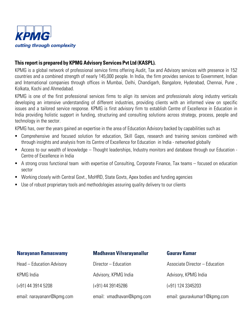

### This report is prepared by KPMG Advisory Services Pvt Ltd (KASPL).

KPMG is a global network of professional service firms offering Audit, Tax and Advisory services with presence in 152 countries and a combined strength of nearly 145,000 people. In India, the firm provides services to Government, Indian and International companies through offices in Mumbai, Delhi, Chandigarh, Bangalore, Hyderabad, Chennai, Pune , Kolkata, Kochi and Ahmedabad.

KPMG is one of the first professional services firms to align its services and professionals along industry verticals developing an intensive understanding of different industries, providing clients with an informed view on specific issues and a tailored service response. KPMG is first advisory firm to establish Centre of Excellence in Education in India providing holistic support in funding, structuring and consulting solutions across strategy, process, people and technology in the sector.

KPMG has, over the years gained an expertise in the area of Education Advisory backed by capabilities such as

- Comprehensive and focused solution for education, Skill Gaps, research and training services combined with through insights and analysis from its Centre of Excellence for Education in India - networked globally
- Access to our wealth of knowledge Thought leaderships, Industry monitors and database through our Education Centre of Excellence in India
- A strong cross functional team with expertise of Consulting, Corporate Finance, Tax teams focused on education sector
- Working closely with Central Govt., MoHRD, State Govts, Apex bodies and funding agencies
- Use of robust proprietary tools and methodologies assuring quality delivery to our clients

| <b>Narayanan Ramaswamy</b> | <b>Madhavan Vilvarayanallur</b> | <b>Gaurav Kumar</b>            |
|----------------------------|---------------------------------|--------------------------------|
| Head - Education Advisory  | Director - Education            | Associate Director - Education |
| KPMG India                 | Advisory, KPMG India            | Advisory, KPMG India           |
| (+91) 44 3914 5208         | (+91) 44 39145286               | (+91) 124 3345203              |
| email: narayananr@kpmg.com | email: vmadhavan@kpmg.com       | email: gauravkumar1@kpmg.com   |